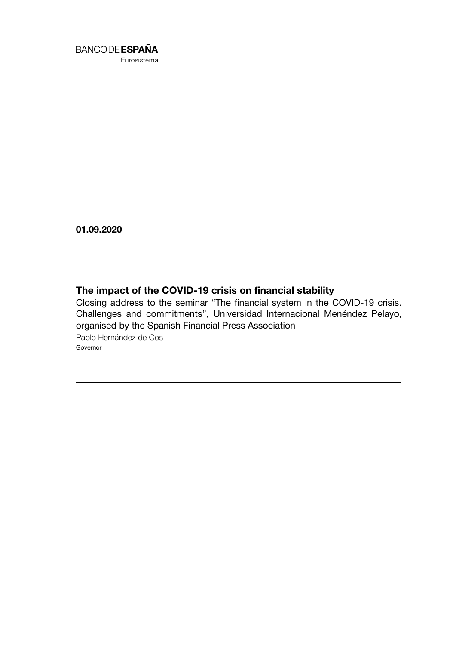

Eurosistema

01.09.2020

# The impact of the COVID-19 crisis on financial stability

Closing address to the seminar "The financial system in the COVID-19 crisis. Challenges and commitments", Universidad Internacional Menéndez Pelayo, organised by the Spanish Financial Press Association Pablo Hernández de Cos Governor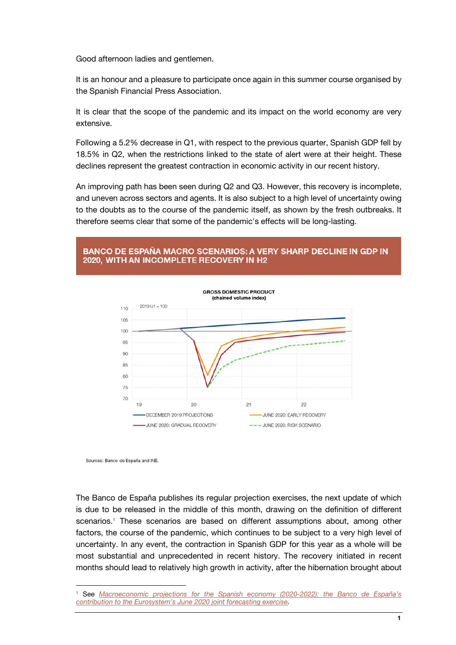Good afternoon ladies and gentlemen.

It is an honour and a pleasure to participate once again in this summer course organised by the Spanish Financial Press Association.

It is clear that the scope of the pandemic and its impact on the world economy are very extensive.

Following a 5.2% decrease in Q1, with respect to the previous quarter, Spanish GDP fell by 18.5% in Q2, when the restrictions linked to the state of alert were at their height. These declines represent the greatest contraction in economic activity in our recent history.

An improving path has been seen during Q2 and Q3. However, this recovery is incomplete, and uneven across sectors and agents. It is also subject to a high level of uncertainty owing to the doubts as to the course of the pandemic itself, as shown by the fresh outbreaks. It therefore seems clear that some of the pandemic's effects will be long-lasting.

# **BANCO DE ESPAÑA MACRO SCENARIOS: A VERY SHARP DECLINE IN GDP IN** 2020. WITH AN INCOMPLETE RECOVERY IN H2



Sources: Banco de España and INE

j

The Banco de España publishes its regular projection exercises, the next update of which is due to be released in the middle of this month, drawing on the definition of different scenarios.<sup>1</sup> These scenarios are based on different assumptions about, among other factors, the course of the pandemic, which continues to be subject to a very high level of uncertainty. In any event, the contraction in Spanish GDP for this year as a whole will be most substantial and unprecedented in recent history. The recovery initiated in recent months should lead to relatively high growth in activity, after the hibernation brought about

<sup>&</sup>lt;sup>1</sup> See *Macroeconomic projections for the Spanish economy (2020-2022): the Banco de España's [contribution to the Eurosystem's June 2020 joint forecasting exercise.](https://www.bde.es/f/webbde/SES/AnalisisEconomico/AnalisisEconomico/ProyeccionesMacroeconomicas/ficheros/be08062020-proye.pdf)*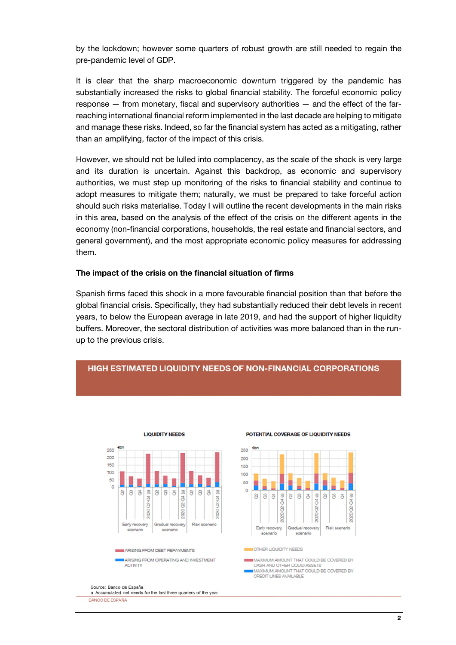by the lockdown; however some quarters of robust growth are still needed to regain the pre-pandemic level of GDP.

It is clear that the sharp macroeconomic downturn triggered by the pandemic has substantially increased the risks to global financial stability. The forceful economic policy response — from monetary, fiscal and supervisory authorities — and the effect of the farreaching international financial reform implemented in the last decade are helping to mitigate and manage these risks. Indeed, so far the financial system has acted as a mitigating, rather than an amplifying, factor of the impact of this crisis.

However, we should not be lulled into complacency, as the scale of the shock is very large and its duration is uncertain. Against this backdrop, as economic and supervisory authorities, we must step up monitoring of the risks to financial stability and continue to adopt measures to mitigate them; naturally, we must be prepared to take forceful action should such risks materialise. Today I will outline the recent developments in the main risks in this area, based on the analysis of the effect of the crisis on the different agents in the economy (non-financial corporations, households, the real estate and financial sectors, and general government), and the most appropriate economic policy measures for addressing them.

#### The impact of the crisis on the financial situation of firms

Spanish firms faced this shock in a more favourable financial position than that before the global financial crisis. Specifically, they had substantially reduced their debt levels in recent years, to below the European average in late 2019, and had the support of higher liquidity buffers. Moreover, the sectoral distribution of activities was more balanced than in the runup to the previous crisis.

### HIGH ESTIMATED LIQUIDITY NEEDS OF NON-FINANCIAL CORPORATIONS



#### POTENTIAL COVERAGE OF LIQUIDITY NEEDS



#### a. Accumulated net needs for the last three quarters of the year

BANCO DE ESPAÑA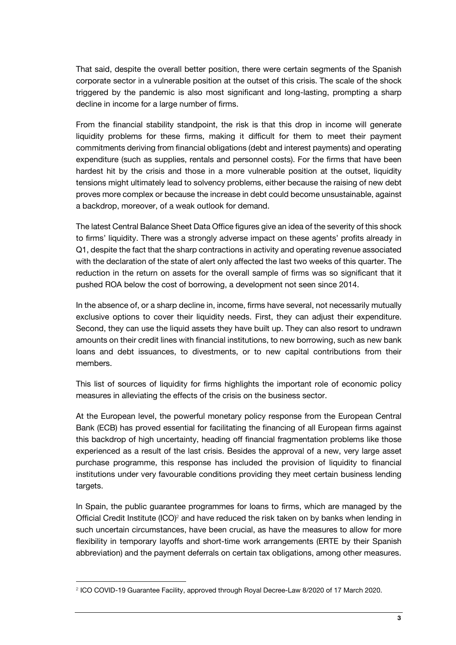That said, despite the overall better position, there were certain segments of the Spanish corporate sector in a vulnerable position at the outset of this crisis. The scale of the shock triggered by the pandemic is also most significant and long-lasting, prompting a sharp decline in income for a large number of firms.

From the financial stability standpoint, the risk is that this drop in income will generate liquidity problems for these firms, making it difficult for them to meet their payment commitments deriving from financial obligations (debt and interest payments) and operating expenditure (such as supplies, rentals and personnel costs). For the firms that have been hardest hit by the crisis and those in a more vulnerable position at the outset, liquidity tensions might ultimately lead to solvency problems, either because the raising of new debt proves more complex or because the increase in debt could become unsustainable, against a backdrop, moreover, of a weak outlook for demand.

The latest Central Balance Sheet Data Office figures give an idea of the severity of this shock to firms' liquidity. There was a strongly adverse impact on these agents' profits already in Q1, despite the fact that the sharp contractions in activity and operating revenue associated with the declaration of the state of alert only affected the last two weeks of this quarter. The reduction in the return on assets for the overall sample of firms was so significant that it pushed ROA below the cost of borrowing, a development not seen since 2014.

In the absence of, or a sharp decline in, income, firms have several, not necessarily mutually exclusive options to cover their liquidity needs. First, they can adjust their expenditure. Second, they can use the liquid assets they have built up. They can also resort to undrawn amounts on their credit lines with financial institutions, to new borrowing, such as new bank loans and debt issuances, to divestments, or to new capital contributions from their members.

This list of sources of liquidity for firms highlights the important role of economic policy measures in alleviating the effects of the crisis on the business sector.

At the European level, the powerful monetary policy response from the European Central Bank (ECB) has proved essential for facilitating the financing of all European firms against this backdrop of high uncertainty, heading off financial fragmentation problems like those experienced as a result of the last crisis. Besides the approval of a new, very large asset purchase programme, this response has included the provision of liquidity to financial institutions under very favourable conditions providing they meet certain business lending targets.

In Spain, the public guarantee programmes for loans to firms, which are managed by the Official Credit Institute (ICO)<sup>2</sup> and have reduced the risk taken on by banks when lending in such uncertain circumstances, have been crucial, as have the measures to allow for more flexibility in temporary layoffs and short-time work arrangements (ERTE by their Spanish abbreviation) and the payment deferrals on certain tax obligations, among other measures.

 $\overline{\phantom{a}}$ 

<sup>2</sup> ICO COVID-19 Guarantee Facility, approved through Royal Decree-Law 8/2020 of 17 March 2020.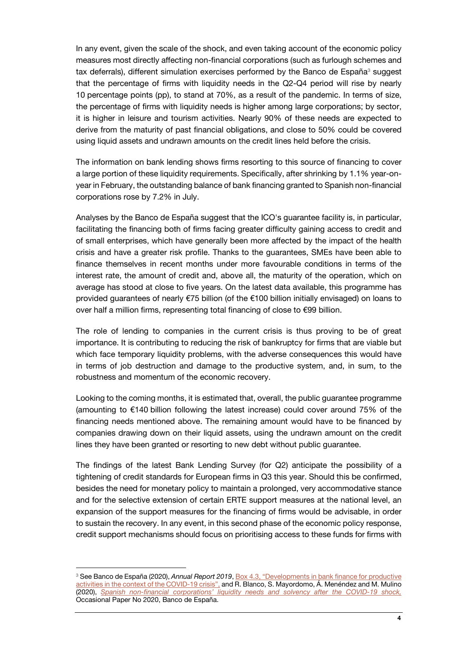In any event, given the scale of the shock, and even taking account of the economic policy measures most directly affecting non-financial corporations (such as furlough schemes and tax deferrals), different simulation exercises performed by the Banco de España<sup>3</sup> suggest that the percentage of firms with liquidity needs in the Q2-Q4 period will rise by nearly 10 percentage points (pp), to stand at 70%, as a result of the pandemic. In terms of size, the percentage of firms with liquidity needs is higher among large corporations; by sector, it is higher in leisure and tourism activities. Nearly 90% of these needs are expected to derive from the maturity of past financial obligations, and close to 50% could be covered using liquid assets and undrawn amounts on the credit lines held before the crisis.

The information on bank lending shows firms resorting to this source of financing to cover a large portion of these liquidity requirements. Specifically, after shrinking by 1.1% year-onyear in February, the outstanding balance of bank financing granted to Spanish non-financial corporations rose by 7.2% in July.

Analyses by the Banco de España suggest that the ICO's guarantee facility is, in particular, facilitating the financing both of firms facing greater difficulty gaining access to credit and of small enterprises, which have generally been more affected by the impact of the health crisis and have a greater risk profile. Thanks to the guarantees, SMEs have been able to finance themselves in recent months under more favourable conditions in terms of the interest rate, the amount of credit and, above all, the maturity of the operation, which on average has stood at close to five years. On the latest data available, this programme has provided guarantees of nearly €75 billion (of the €100 billion initially envisaged) on loans to over half a million firms, representing total financing of close to €99 billion.

The role of lending to companies in the current crisis is thus proving to be of great importance. It is contributing to reducing the risk of bankruptcy for firms that are viable but which face temporary liquidity problems, with the adverse consequences this would have in terms of job destruction and damage to the productive system, and, in sum, to the robustness and momentum of the economic recovery.

Looking to the coming months, it is estimated that, overall, the public guarantee programme (amounting to €140 billion following the latest increase) could cover around 75% of the financing needs mentioned above. The remaining amount would have to be financed by companies drawing down on their liquid assets, using the undrawn amount on the credit lines they have been granted or resorting to new debt without public guarantee.

The findings of the latest Bank Lending Survey (for Q2) anticipate the possibility of a tightening of credit standards for European firms in Q3 this year. Should this be confirmed, besides the need for monetary policy to maintain a prolonged, very accommodative stance and for the selective extension of certain ERTE support measures at the national level, an expansion of the support measures for the financing of firms would be advisable, in order to sustain the recovery. In any event, in this second phase of the economic policy response, credit support mechanisms should focus on prioritising access to these funds for firms with

 $\overline{\phantom{a}}$ 

<sup>3</sup> See Banco de España (2020), *Annual Report 2019*[, Box 4.3, "Developments in bank finance for productive](https://www.bde.es/f/webbde/SES/Secciones/Publicaciones/PublicacionesAnuales/InformesAnuales/19/descargar/Files/InfAnual_2019-Box4.3.pdf)  [activities in the context of the COVID-19 crisis",](https://www.bde.es/f/webbde/SES/Secciones/Publicaciones/PublicacionesAnuales/InformesAnuales/19/descargar/Files/InfAnual_2019-Box4.3.pdf) and R. Blanco, S. Mayordomo, Á. Menéndez and M. Mulino (2020), *[Spanish non-financial corporations' liquidity needs and solvency after the COVID-19 shock,](https://www.bde.es/f/webbde/SES/Secciones/Publicaciones/PublicacionesSeriadas/DocumentosOcasionales/20/Files/do2020e.pdf)* Occasional Paper No 2020, Banco de España.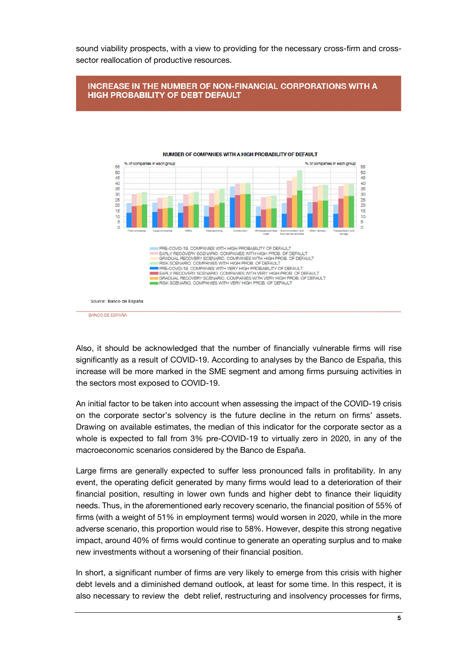sound viability prospects, with a view to providing for the necessary cross-firm and crosssector reallocation of productive resources.

## **INCREASE IN THE NUMBER OF NON-FINANCIAL CORPORATIONS WITH A HIGH PROBABILITY OF DEBT DEFAULT**



# Also, it should be acknowledged that the number of financially vulnerable firms will rise significantly as a result of COVID-19. According to analyses by the Banco de España, this increase will be more marked in the SME segment and among firms pursuing activities in the sectors most exposed to COVID-19.

An initial factor to be taken into account when assessing the impact of the COVID-19 crisis on the corporate sector's solvency is the future decline in the return on firms' assets. Drawing on available estimates, the median of this indicator for the corporate sector as a whole is expected to fall from 3% pre-COVID-19 to virtually zero in 2020, in any of the macroeconomic scenarios considered by the Banco de España.

Large firms are generally expected to suffer less pronounced falls in profitability. In any event, the operating deficit generated by many firms would lead to a deterioration of their financial position, resulting in lower own funds and higher debt to finance their liquidity needs. Thus, in the aforementioned early recovery scenario, the financial position of 55% of firms (with a weight of 51% in employment terms) would worsen in 2020, while in the more adverse scenario, this proportion would rise to 58%. However, despite this strong negative impact, around 40% of firms would continue to generate an operating surplus and to make new investments without a worsening of their financial position.

In short, a significant number of firms are very likely to emerge from this crisis with higher debt levels and a diminished demand outlook, at least for some time. In this respect, it is also necessary to review the debt relief, restructuring and insolvency processes for firms,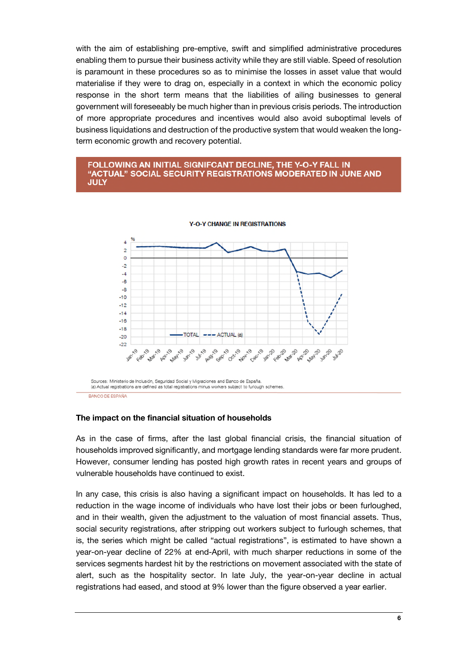with the aim of establishing pre-emptive, swift and simplified administrative procedures enabling them to pursue their business activity while they are still viable. Speed of resolution is paramount in these procedures so as to minimise the losses in asset value that would materialise if they were to drag on, especially in a context in which the economic policy response in the short term means that the liabilities of ailing businesses to general government will foreseeably be much higher than in previous crisis periods. The introduction of more appropriate procedures and incentives would also avoid suboptimal levels of business liquidations and destruction of the productive system that would weaken the longterm economic growth and recovery potential.

#### FOLLOWING AN INITIAL SIGNIFCANT DECLINE, THE Y-O-Y FALL IN "ACTUAL" SOCIAL SECURITY REGISTRATIONS MODERATED IN JUNE AND **JULY**



#### **Y-O-Y CHANGE IN REGISTRATIONS**

BANCO DE ESPAÑA

# The impact on the financial situation of households

As in the case of firms, after the last global financial crisis, the financial situation of households improved significantly, and mortgage lending standards were far more prudent. However, consumer lending has posted high growth rates in recent years and groups of vulnerable households have continued to exist.

In any case, this crisis is also having a significant impact on households. It has led to a reduction in the wage income of individuals who have lost their jobs or been furloughed, and in their wealth, given the adjustment to the valuation of most financial assets. Thus, social security registrations, after stripping out workers subject to furlough schemes, that is, the series which might be called "actual registrations", is estimated to have shown a year-on-year decline of 22% at end-April, with much sharper reductions in some of the services segments hardest hit by the restrictions on movement associated with the state of alert, such as the hospitality sector. In late July, the year-on-year decline in actual registrations had eased, and stood at 9% lower than the figure observed a year earlier.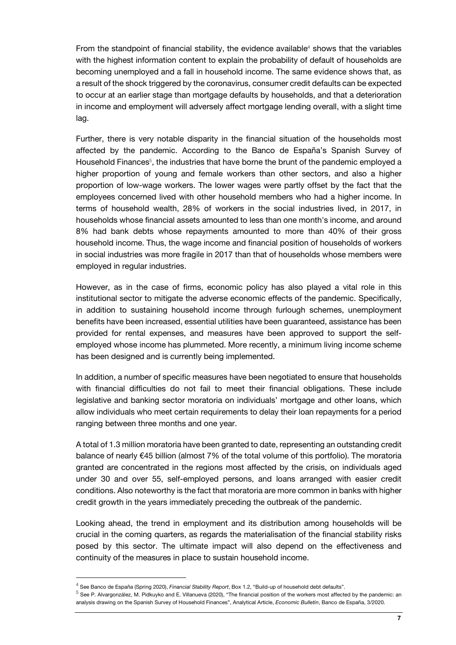From the standpoint of financial stability, the evidence available $4$  shows that the variables with the highest information content to explain the probability of default of households are becoming unemployed and a fall in household income. The same evidence shows that, as a result of the shock triggered by the coronavirus, consumer credit defaults can be expected to occur at an earlier stage than mortgage defaults by households, and that a deterioration in income and employment will adversely affect mortgage lending overall, with a slight time lag.

Further, there is very notable disparity in the financial situation of the households most affected by the pandemic. According to the Banco de España's Spanish Survey of Household Finances<sup>5</sup>, the industries that have borne the brunt of the pandemic employed a higher proportion of young and female workers than other sectors, and also a higher proportion of low-wage workers. The lower wages were partly offset by the fact that the employees concerned lived with other household members who had a higher income. In terms of household wealth, 28% of workers in the social industries lived, in 2017, in households whose financial assets amounted to less than one month's income, and around 8% had bank debts whose repayments amounted to more than 40% of their gross household income. Thus, the wage income and financial position of households of workers in social industries was more fragile in 2017 than that of households whose members were employed in regular industries.

However, as in the case of firms, economic policy has also played a vital role in this institutional sector to mitigate the adverse economic effects of the pandemic. Specifically, in addition to sustaining household income through furlough schemes, unemployment benefits have been increased, essential utilities have been guaranteed, assistance has been provided for rental expenses, and measures have been approved to support the selfemployed whose income has plummeted. More recently, a minimum living income scheme has been designed and is currently being implemented.

In addition, a number of specific measures have been negotiated to ensure that households with financial difficulties do not fail to meet their financial obligations. These include legislative and banking sector moratoria on individuals' mortgage and other loans, which allow individuals who meet certain requirements to delay their loan repayments for a period ranging between three months and one year.

A total of 1.3 million moratoria have been granted to date, representing an outstanding credit balance of nearly €45 billion (almost 7% of the total volume of this portfolio). The moratoria granted are concentrated in the regions most affected by the crisis, on individuals aged under 30 and over 55, self-employed persons, and loans arranged with easier credit conditions. Also noteworthy is the fact that moratoria are more common in banks with higher credit growth in the years immediately preceding the outbreak of the pandemic.

Looking ahead, the trend in employment and its distribution among households will be crucial in the coming quarters, as regards the materialisation of the financial stability risks posed by this sector. The ultimate impact will also depend on the effectiveness and continuity of the measures in place to sustain household income.

j

<sup>4</sup> See Banco de España (Spring 2020), *Financial Stability Report*, Box 1.2, "Build-up of household debt defaults".

 $^5$  See P. Alvargonzález, M. Pidkuyko and E. Villanueva (2020), "The financial position of the workers most affected by the pandemic: an analysis drawing on the Spanish Survey of Household Finances", Analytical Article, *Economic Bulletin*, Banco de España, 3/2020.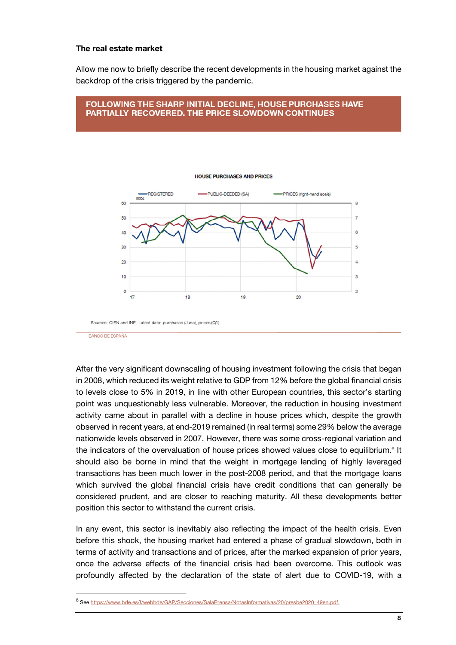#### The real estate market

Allow me now to briefly describe the recent developments in the housing market against the backdrop of the crisis triggered by the pandemic.

# FOLLOWING THE SHARP INITIAL DECLINE, HOUSE PURCHASES HAVE PARTIALLY RECOVERED. THE PRICE SLOWDOWN CONTINUES



**HOUSE PURCHASES AND PRICES** 

BANCO DE ESPAÑA

 $\overline{\phantom{a}}$ 

After the very significant downscaling of housing investment following the crisis that began in 2008, which reduced its weight relative to GDP from 12% before the global financial crisis to levels close to 5% in 2019, in line with other European countries, this sector's starting point was unquestionably less vulnerable. Moreover, the reduction in housing investment activity came about in parallel with a decline in house prices which, despite the growth observed in recent years, at end-2019 remained (in real terms) some 29% below the average nationwide levels observed in 2007. However, there was some cross-regional variation and the indicators of the overvaluation of house prices showed values close to equilibrium. $6$  It should also be borne in mind that the weight in mortgage lending of highly leveraged transactions has been much lower in the post-2008 period, and that the mortgage loans which survived the global financial crisis have credit conditions that can generally be considered prudent, and are closer to reaching maturity. All these developments better position this sector to withstand the current crisis.

In any event, this sector is inevitably also reflecting the impact of the health crisis. Even before this shock, the housing market had entered a phase of gradual slowdown, both in terms of activity and transactions and of prices, after the marked expansion of prior years, once the adverse effects of the financial crisis had been overcome. This outlook was profoundly affected by the declaration of the state of alert due to COVID-19, with a

<sup>&</sup>lt;sup>6</sup> Se[e https://www.bde.es/f/webbde/GAP/Secciones/SalaPrensa/NotasInformativas/20/presbe2020\\_49en.pdf.](https://www.bde.es/f/webbde/GAP/Secciones/SalaPrensa/NotasInformativas/20/presbe2020_49en.pdf)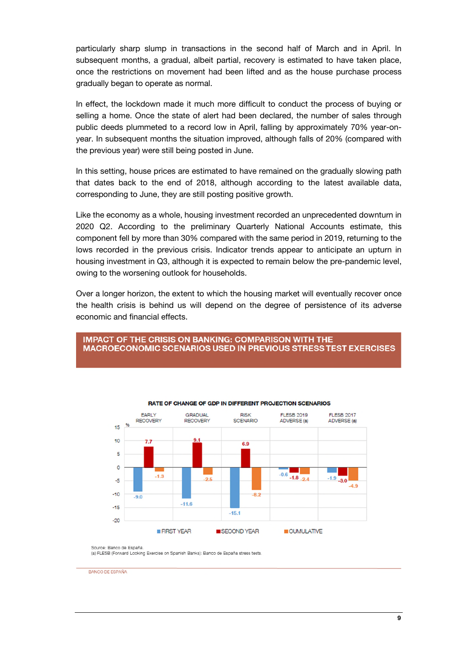particularly sharp slump in transactions in the second half of March and in April. In subsequent months, a gradual, albeit partial, recovery is estimated to have taken place, once the restrictions on movement had been lifted and as the house purchase process gradually began to operate as normal.

In effect, the lockdown made it much more difficult to conduct the process of buying or selling a home. Once the state of alert had been declared, the number of sales through public deeds plummeted to a record low in April, falling by approximately 70% year-onyear. In subsequent months the situation improved, although falls of 20% (compared with the previous year) were still being posted in June.

In this setting, house prices are estimated to have remained on the gradually slowing path that dates back to the end of 2018, although according to the latest available data, corresponding to June, they are still posting positive growth.

Like the economy as a whole, housing investment recorded an unprecedented downturn in 2020 Q2. According to the preliminary Quarterly National Accounts estimate, this component fell by more than 30% compared with the same period in 2019, returning to the lows recorded in the previous crisis. Indicator trends appear to anticipate an upturn in housing investment in Q3, although it is expected to remain below the pre-pandemic level, owing to the worsening outlook for households.

Over a longer horizon, the extent to which the housing market will eventually recover once the health crisis is behind us will depend on the degree of persistence of its adverse economic and financial effects.

# **IMPACT OF THE CRISIS ON BANKING: COMPARISON WITH THE MACROECONOMIC SCENARIOS USED IN PREVIOUS STRESS TEST EXERCISES**



#### **RATE OF CHANGE OF GDP IN DIFFERENT PROJECTION SCENARIOS**

Source: Banco de España

(a) FLESB (Forward Looking Exercise on Spanish Banks): Banco de España stress tests

BANCO DE ESPAÑA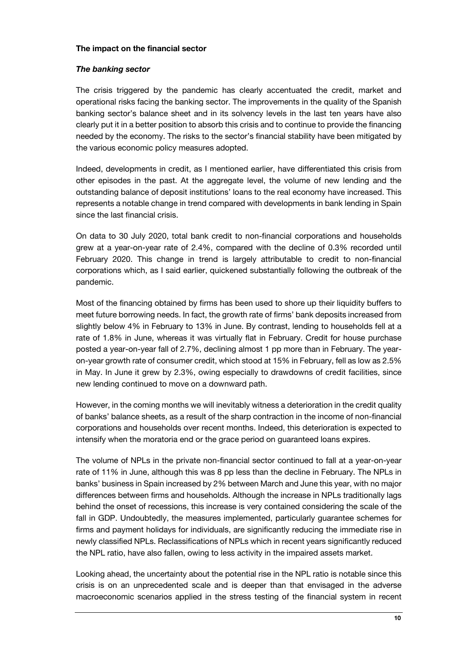### The impact on the financial sector

## *The banking sector*

The crisis triggered by the pandemic has clearly accentuated the credit, market and operational risks facing the banking sector. The improvements in the quality of the Spanish banking sector's balance sheet and in its solvency levels in the last ten years have also clearly put it in a better position to absorb this crisis and to continue to provide the financing needed by the economy. The risks to the sector's financial stability have been mitigated by the various economic policy measures adopted.

Indeed, developments in credit, as I mentioned earlier, have differentiated this crisis from other episodes in the past. At the aggregate level, the volume of new lending and the outstanding balance of deposit institutions' loans to the real economy have increased. This represents a notable change in trend compared with developments in bank lending in Spain since the last financial crisis.

On data to 30 July 2020, total bank credit to non-financial corporations and households grew at a year-on-year rate of 2.4%, compared with the decline of 0.3% recorded until February 2020. This change in trend is largely attributable to credit to non-financial corporations which, as I said earlier, quickened substantially following the outbreak of the pandemic.

Most of the financing obtained by firms has been used to shore up their liquidity buffers to meet future borrowing needs. In fact, the growth rate of firms' bank deposits increased from slightly below 4% in February to 13% in June. By contrast, lending to households fell at a rate of 1.8% in June, whereas it was virtually flat in February. Credit for house purchase posted a year-on-year fall of 2.7%, declining almost 1 pp more than in February. The yearon-year growth rate of consumer credit, which stood at 15% in February, fell as low as 2.5% in May. In June it grew by 2.3%, owing especially to drawdowns of credit facilities, since new lending continued to move on a downward path.

However, in the coming months we will inevitably witness a deterioration in the credit quality of banks' balance sheets, as a result of the sharp contraction in the income of non-financial corporations and households over recent months. Indeed, this deterioration is expected to intensify when the moratoria end or the grace period on guaranteed loans expires.

The volume of NPLs in the private non-financial sector continued to fall at a year-on-year rate of 11% in June, although this was 8 pp less than the decline in February. The NPLs in banks' business in Spain increased by 2% between March and June this year, with no major differences between firms and households. Although the increase in NPLs traditionally lags behind the onset of recessions, this increase is very contained considering the scale of the fall in GDP. Undoubtedly, the measures implemented, particularly guarantee schemes for firms and payment holidays for individuals, are significantly reducing the immediate rise in newly classified NPLs. Reclassifications of NPLs which in recent years significantly reduced the NPL ratio, have also fallen, owing to less activity in the impaired assets market.

Looking ahead, the uncertainty about the potential rise in the NPL ratio is notable since this crisis is on an unprecedented scale and is deeper than that envisaged in the adverse macroeconomic scenarios applied in the stress testing of the financial system in recent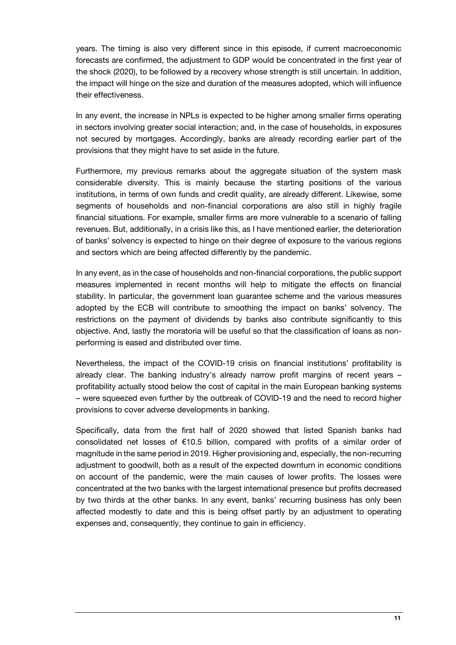years. The timing is also very different since in this episode, if current macroeconomic forecasts are confirmed, the adjustment to GDP would be concentrated in the first year of the shock (2020), to be followed by a recovery whose strength is still uncertain. In addition, the impact will hinge on the size and duration of the measures adopted, which will influence their effectiveness.

In any event, the increase in NPLs is expected to be higher among smaller firms operating in sectors involving greater social interaction; and, in the case of households, in exposures not secured by mortgages. Accordingly, banks are already recording earlier part of the provisions that they might have to set aside in the future.

Furthermore, my previous remarks about the aggregate situation of the system mask considerable diversity. This is mainly because the starting positions of the various institutions, in terms of own funds and credit quality, are already different. Likewise, some segments of households and non-financial corporations are also still in highly fragile financial situations. For example, smaller firms are more vulnerable to a scenario of falling revenues. But, additionally, in a crisis like this, as I have mentioned earlier, the deterioration of banks' solvency is expected to hinge on their degree of exposure to the various regions and sectors which are being affected differently by the pandemic.

In any event, as in the case of households and non-financial corporations, the public support measures implemented in recent months will help to mitigate the effects on financial stability. In particular, the government loan guarantee scheme and the various measures adopted by the ECB will contribute to smoothing the impact on banks' solvency. The restrictions on the payment of dividends by banks also contribute significantly to this objective. And, lastly the moratoria will be useful so that the classification of loans as nonperforming is eased and distributed over time.

Nevertheless, the impact of the COVID-19 crisis on financial institutions' profitability is already clear. The banking industry's already narrow profit margins of recent years – profitability actually stood below the cost of capital in the main European banking systems – were squeezed even further by the outbreak of COVID-19 and the need to record higher provisions to cover adverse developments in banking.

Specifically, data from the first half of 2020 showed that listed Spanish banks had consolidated net losses of €10.5 billion, compared with profits of a similar order of magnitude in the same period in 2019. Higher provisioning and, especially, the non-recurring adjustment to goodwill, both as a result of the expected downturn in economic conditions on account of the pandemic, were the main causes of lower profits. The losses were concentrated at the two banks with the largest international presence but profits decreased by two thirds at the other banks. In any event, banks' recurring business has only been affected modestly to date and this is being offset partly by an adjustment to operating expenses and, consequently, they continue to gain in efficiency.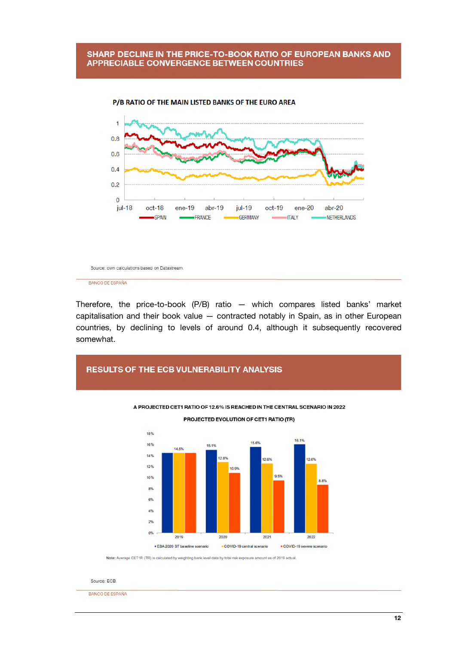### SHARP DECLINE IN THE PRICE-TO-BOOK RATIO OF EUROPEAN BANKS AND **APPRECIABLE CONVERGENCE BETWEEN COUNTRIES**



P/B RATIO OF THE MAIN LISTED BANKS OF THE EURO AREA

Source: own calculations based on Datastream

BANCO DE ESPAÑA

Therefore, the price-to-book (P/B) ratio — which compares listed banks' market capitalisation and their book value — contracted notably in Spain, as in other European countries, by declining to levels of around 0.4, although it subsequently recovered somewhat.

# **RESULTS OF THE ECB VULNERABILITY ANALYSIS** A PROJECTED CET1 RATIO OF 12.6% IS REACHED IN THE CENTRAL SCENARIO IN 2022 PROJECTED EVOLUTION OF CET1 RATIO (TR) 18% 16.1% 15.6% 16% 15.1%



Note: Average CET1R (TR) is calculated by weighting bank level data by total risk exposure amount as of 2019 actual.

Source: ECB.

BANCO DE ESPAÑA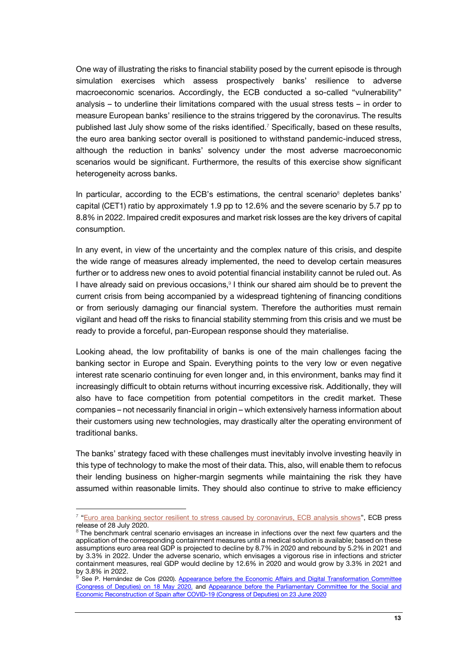One way of illustrating the risks to financial stability posed by the current episode is through simulation exercises which assess prospectively banks' resilience to adverse macroeconomic scenarios. Accordingly, the ECB conducted a so-called "vulnerability" analysis – to underline their limitations compared with the usual stress tests – in order to measure European banks' resilience to the strains triggered by the coronavirus. The results published last July show some of the risks identified.<sup>7</sup> Specifically, based on these results, the euro area banking sector overall is positioned to withstand pandemic-induced stress, although the reduction in banks' solvency under the most adverse macroeconomic scenarios would be significant. Furthermore, the results of this exercise show significant heterogeneity across banks.

In particular, according to the ECB's estimations, the central scenario<sup>8</sup> depletes banks' capital (CET1) ratio by approximately 1.9 pp to 12.6% and the severe scenario by 5.7 pp to 8.8% in 2022. Impaired credit exposures and market risk losses are the key drivers of capital consumption.

In any event, in view of the uncertainty and the complex nature of this crisis, and despite the wide range of measures already implemented, the need to develop certain measures further or to address new ones to avoid potential financial instability cannot be ruled out. As I have already said on previous occasions, $9$  I think our shared aim should be to prevent the current crisis from being accompanied by a widespread tightening of financing conditions or from seriously damaging our financial system. Therefore the authorities must remain vigilant and head off the risks to financial stability stemming from this crisis and we must be ready to provide a forceful, pan-European response should they materialise.

Looking ahead, the low profitability of banks is one of the main challenges facing the banking sector in Europe and Spain. Everything points to the very low or even negative interest rate scenario continuing for even longer and, in this environment, banks may find it increasingly difficult to obtain returns without incurring excessive risk. Additionally, they will also have to face competition from potential competitors in the credit market. These companies – not necessarily financial in origin – which extensively harness information about their customers using new technologies, may drastically alter the operating environment of traditional banks.

The banks' strategy faced with these challenges must inevitably involve investing heavily in this type of technology to make the most of their data. This, also, will enable them to refocus their lending business on higher-margin segments while maintaining the risk they have assumed within reasonable limits. They should also continue to strive to make efficiency

j

<sup>&</sup>lt;sup>7</sup> ["Euro area banking sector resilient to stress caused by coronavirus, ECB analysis shows"](https://www.bde.es/f/webbde/GAP/Secciones/SalaPrensa/ComunicadosBCE/NotasInformativasBCE/20/presbce2020_133en.pdf), ECB press release of 28 July 2020.

 $8$  The benchmark central scenario envisages an increase in infections over the next few quarters and the application of the corresponding containment measures until a medical solution is available; based on these assumptions euro area real GDP is projected to decline by 8.7% in 2020 and rebound by 5.2% in 2021 and by 3.3% in 2022. Under the adverse scenario, which envisages a vigorous rise in infections and stricter containment measures, real GDP would decline by 12.6% in 2020 and would grow by 3.3% in 2021 and by 3.8% in 2022.

See P. Hernández de Cos (2020). Appearance before the Economic Affairs and Digital Transformation Committee [\(Congress of Deputies\) on 18 May 2020.](https://www.bde.es/f/webbde/GAP/Secciones/SalaPrensa/IntervencionesPublicas/Gobernador/Arc/Fic/hdc180520en.pdf) and [Appearance before the Parliamentary Committee for the Social and](https://www.bde.es/f/webbde/GAP/Secciones/SalaPrensa/IntervencionesPublicas/Gobernador/Arc/Fic/hdc230620en.pdf)  [Economic Reconstruction of Spain after COVID-19 \(Congress of Deputies\) on 23 June 2020](https://www.bde.es/f/webbde/GAP/Secciones/SalaPrensa/IntervencionesPublicas/Gobernador/Arc/Fic/hdc230620en.pdf)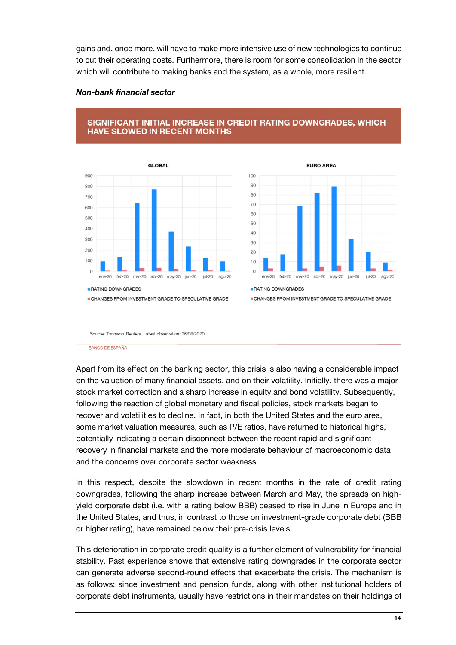gains and, once more, will have to make more intensive use of new technologies to continue to cut their operating costs. Furthermore, there is room for some consolidation in the sector which will contribute to making banks and the system, as a whole, more resilient.

### *Non-bank financial sector*







CHANGES FROM INVESTMENT GRADE TO SPECULATIVE GRADE

Source: Thomson Reuters, Latest observation: 26/08/2020

BANCO DE ESPAÑA

Apart from its effect on the banking sector, this crisis is also having a considerable impact on the valuation of many financial assets, and on their volatility. Initially, there was a major stock market correction and a sharp increase in equity and bond volatility. Subsequently, following the reaction of global monetary and fiscal policies, stock markets began to recover and volatilities to decline. In fact, in both the United States and the euro area, some market valuation measures, such as P/E ratios, have returned to historical highs, potentially indicating a certain disconnect between the recent rapid and significant recovery in financial markets and the more moderate behaviour of macroeconomic data and the concerns over corporate sector weakness.

In this respect, despite the slowdown in recent months in the rate of credit rating downgrades, following the sharp increase between March and May, the spreads on highyield corporate debt (i.e. with a rating below BBB) ceased to rise in June in Europe and in the United States, and thus, in contrast to those on investment-grade corporate debt (BBB or higher rating), have remained below their pre-crisis levels.

This deterioration in corporate credit quality is a further element of vulnerability for financial stability. Past experience shows that extensive rating downgrades in the corporate sector can generate adverse second-round effects that exacerbate the crisis. The mechanism is as follows: since investment and pension funds, along with other institutional holders of corporate debt instruments, usually have restrictions in their mandates on their holdings of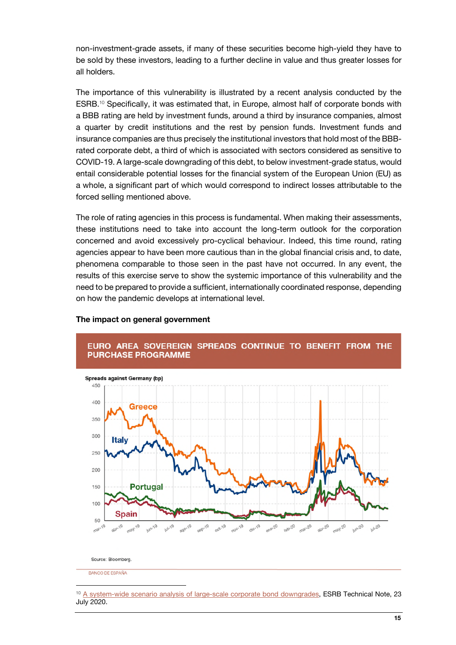non-investment-grade assets, if many of these securities become high-yield they have to be sold by these investors, leading to a further decline in value and thus greater losses for all holders.

The importance of this vulnerability is illustrated by a recent analysis conducted by the ESRB.10 Specifically, it was estimated that, in Europe, almost half of corporate bonds with a BBB rating are held by investment funds, around a third by insurance companies, almost a quarter by credit institutions and the rest by pension funds. Investment funds and insurance companies are thus precisely the institutional investors that hold most of the BBBrated corporate debt, a third of which is associated with sectors considered as sensitive to COVID-19. A large-scale downgrading of this debt, to below investment-grade status, would entail considerable potential losses for the financial system of the European Union (EU) as a whole, a significant part of which would correspond to indirect losses attributable to the forced selling mentioned above.

The role of rating agencies in this process is fundamental. When making their assessments, these institutions need to take into account the long-term outlook for the corporation concerned and avoid excessively pro-cyclical behaviour. Indeed, this time round, rating agencies appear to have been more cautious than in the global financial crisis and, to date, phenomena comparable to those seen in the past have not occurred. In any event, the results of this exercise serve to show the systemic importance of this vulnerability and the need to be prepared to provide a sufficient, internationally coordinated response, depending on how the pandemic develops at international level.

### The impact on general government



# EURO AREA SOVEREIGN SPREADS CONTINUE TO BENEFIT FROM THE **PURCHASE PROGRAMME**

Source: Bloomberg

BANCO DE ESPAÑA

j

<sup>&</sup>lt;sup>10</sup> [A system-wide scenario analysis of large-scale corporate bond downgrades,](https://www.esrb.europa.eu/pub/pdf/A_system-wide_scenario_analysis_of_large-scale_corporate_bond_downgrades.en.pdf) ESRB Technical Note, 23 July 2020.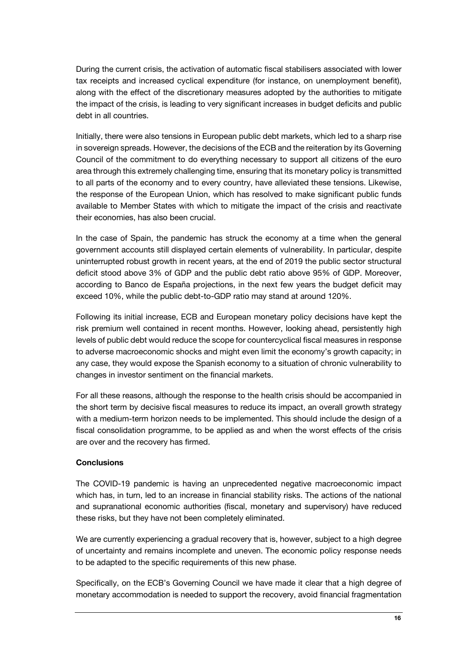During the current crisis, the activation of automatic fiscal stabilisers associated with lower tax receipts and increased cyclical expenditure (for instance, on unemployment benefit), along with the effect of the discretionary measures adopted by the authorities to mitigate the impact of the crisis, is leading to very significant increases in budget deficits and public debt in all countries.

Initially, there were also tensions in European public debt markets, which led to a sharp rise in sovereign spreads. However, the decisions of the ECB and the reiteration by its Governing Council of the commitment to do everything necessary to support all citizens of the euro area through this extremely challenging time, ensuring that its monetary policy is transmitted to all parts of the economy and to every country, have alleviated these tensions. Likewise, the response of the European Union, which has resolved to make significant public funds available to Member States with which to mitigate the impact of the crisis and reactivate their economies, has also been crucial.

In the case of Spain, the pandemic has struck the economy at a time when the general government accounts still displayed certain elements of vulnerability. In particular, despite uninterrupted robust growth in recent years, at the end of 2019 the public sector structural deficit stood above 3% of GDP and the public debt ratio above 95% of GDP. Moreover, according to Banco de España projections, in the next few years the budget deficit may exceed 10%, while the public debt-to-GDP ratio may stand at around 120%.

Following its initial increase, ECB and European monetary policy decisions have kept the risk premium well contained in recent months. However, looking ahead, persistently high levels of public debt would reduce the scope for countercyclical fiscal measures in response to adverse macroeconomic shocks and might even limit the economy's growth capacity; in any case, they would expose the Spanish economy to a situation of chronic vulnerability to changes in investor sentiment on the financial markets.

For all these reasons, although the response to the health crisis should be accompanied in the short term by decisive fiscal measures to reduce its impact, an overall growth strategy with a medium-term horizon needs to be implemented. This should include the design of a fiscal consolidation programme, to be applied as and when the worst effects of the crisis are over and the recovery has firmed.

# **Conclusions**

The COVID-19 pandemic is having an unprecedented negative macroeconomic impact which has, in turn, led to an increase in financial stability risks. The actions of the national and supranational economic authorities (fiscal, monetary and supervisory) have reduced these risks, but they have not been completely eliminated.

We are currently experiencing a gradual recovery that is, however, subject to a high degree of uncertainty and remains incomplete and uneven. The economic policy response needs to be adapted to the specific requirements of this new phase.

Specifically, on the ECB's Governing Council we have made it clear that a high degree of monetary accommodation is needed to support the recovery, avoid financial fragmentation